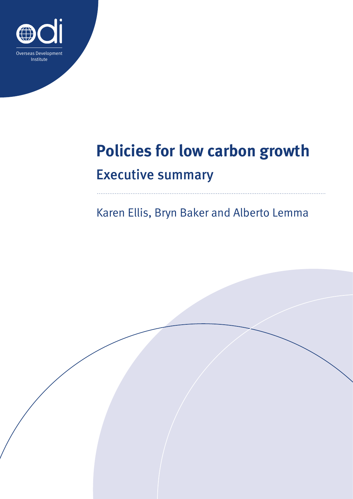

# **Policies for low carbon growth** Executive summary

Karen Ellis, Bryn Baker and Alberto Lemma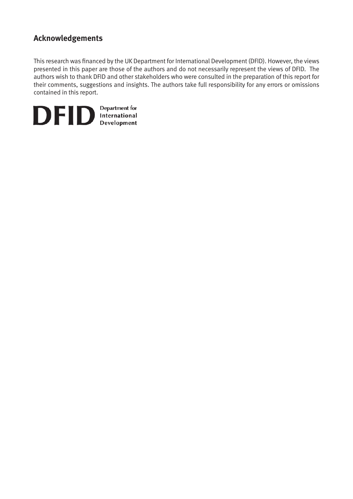## **Acknowledgements**

This research was financed by the UK Department for International Development (DFID). However, the views presented in this paper are those of the authors and do not necessarily represent the views of DFID. The authors wish to thank DFID and other stakeholders who were consulted in the preparation of this report for their comments, suggestions and insights. The authors take full responsibility for any errors or omissions contained in this report.

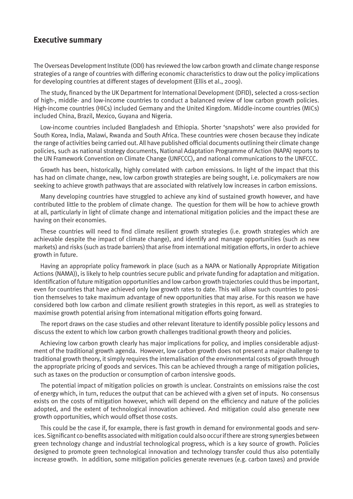## **Executive summary**

The Overseas Development Institute (ODI) has reviewed the low carbon growth and climate change response strategies of a range of countries with differing economic characteristics to draw out the policy implications for developing countries at different stages of development (Ellis et al., 2009).

The study, financed by the UK Department for International Development (DFID), selected a cross-section of high-, middle- and low-income countries to conduct a balanced review of low carbon growth policies. High-income countries (HICs) included Germany and the United Kingdom. Middle-income countries (MICs) included China, Brazil, Mexico, Guyana and Nigeria.

Low-income countries included Bangladesh and Ethiopia. Shorter 'snapshots' were also provided for South Korea, India, Malawi, Rwanda and South Africa. These countries were chosen because they indicate the range of activities being carried out. All have published official documents outlining their climate change policies, such as national strategy documents, National Adaptation Programme of Action (NAPA) reports to the UN Framework Convention on Climate Change (UNFCCC), and national communications to the UNFCCC.

Growth has been, historically, highly correlated with carbon emissions. In light of the impact that this has had on climate change, new, low carbon growth strategies are being sought, i.e. policymakers are now seeking to achieve growth pathways that are associated with relatively low increases in carbon emissions.

Many developing countries have struggled to achieve any kind of sustained growth however, and have contributed little to the problem of climate change. The question for them will be how to achieve growth at all, particularly in light of climate change and international mitigation policies and the impact these are having on their economies.

These countries will need to find climate resilient growth strategies (i.e. growth strategies which are achievable despite the impact of climate change), and identify and manage opportunities (such as new markets) and risks (such as trade barriers) that arise from international mitigation efforts, in order to achieve growth in future.

Having an appropriate policy framework in place (such as a NAPA or Nationally Appropriate Mitigation Actions (NAMA)), is likely to help countries secure public and private funding for adaptation and mitigation. Identification of future mitigation opportunities and low carbon growth trajectories could thus be important, even for countries that have achieved only low growth rates to date. This will allow such countries to position themselves to take maximum advantage of new opportunities that may arise. For this reason we have considered both low carbon and climate resilient growth strategies in this report, as well as strategies to maximise growth potential arising from international mitigation efforts going forward.

The report draws on the case studies and other relevant literature to identify possible policy lessons and discuss the extent to which low carbon growth challenges traditional growth theory and policies.

Achieving low carbon growth clearly has major implications for policy, and implies considerable adjustment of the traditional growth agenda. However, low carbon growth does not present a major challenge to traditional growth theory, it simply requires the internalisation of the environmental costs of growth through the appropriate pricing of goods and services. This can be achieved through a range of mitigation policies, such as taxes on the production or consumption of carbon intensive goods.

The potential impact of mitigation policies on growth is unclear. Constraints on emissions raise the cost of energy which, in turn, reduces the output that can be achieved with a given set of inputs. No consensus exists on the costs of mitigation however, which will depend on the efficiency and nature of the policies adopted, and the extent of technological innovation achieved. And mitigation could also generate new growth opportunities, which would offset those costs.

This could be the case if, for example, there is fast growth in demand for environmental goods and services. Significant co-benefits associated with mitigation could also occur if there are strong synergies between green technology change and industrial technological progress, which is a key source of growth. Policies designed to promote green technological innovation and technology transfer could thus also potentially increase growth. In addition, some mitigation policies generate revenues (e.g. carbon taxes) and provide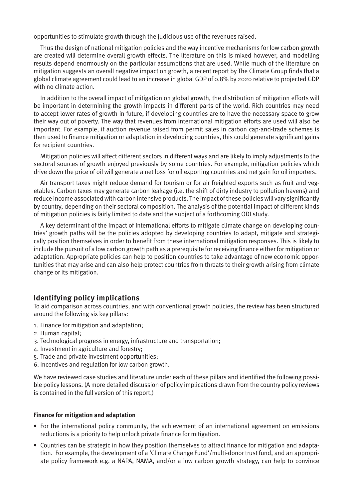opportunities to stimulate growth through the judicious use of the revenues raised.

Thus the design of national mitigation policies and the way incentive mechanisms for low carbon growth are created will determine overall growth effects. The literature on this is mixed however, and modelling results depend enormously on the particular assumptions that are used. While much of the literature on mitigation suggests an overall negative impact on growth, a recent report by The Climate Group finds that a global climate agreement could lead to an increase in global GDP of 0.8% by 2020 relative to projected GDP with no climate action.

In addition to the overall impact of mitigation on global growth, the distribution of mitigation efforts will be important in determining the growth impacts in different parts of the world. Rich countries may need to accept lower rates of growth in future, if developing countries are to have the necessary space to grow their way out of poverty. The way that revenues from international mitigation efforts are used will also be important. For example, if auction revenue raised from permit sales in carbon cap-and-trade schemes is then used to finance mitigation or adaptation in developing countries, this could generate significant gains for recipient countries.

Mitigation policies will affect different sectors in different ways and are likely to imply adjustments to the sectoral sources of growth enjoyed previously by some countries. For example, mitigation policies which drive down the price of oil will generate a net loss for oil exporting countries and net gain for oil importers.

Air transport taxes might reduce demand for tourism or for air freighted exports such as fruit and vegetables. Carbon taxes may generate carbon leakage (i.e. the shift of dirty industry to pollution havens) and reduce income associated with carbon intensive products. The impact of these policies will vary significantly by country, depending on their sectoral composition. The analysis of the potential impact of different kinds of mitigation policies is fairly limited to date and the subject of a forthcoming ODI study.

A key determinant of the impact of international efforts to mitigate climate change on developing countries' growth paths will be the policies adopted by developing countries to adapt, mitigate and strategically position themselves in order to benefit from these international mitigation responses. This is likely to include the pursuit of a low carbon growth path as a prerequisite for receiving finance either for mitigation or adaptation. Appropriate policies can help to position countries to take advantage of new economic opportunities that may arise and can also help protect countries from threats to their growth arising from climate change or its mitigation.

## **Identifying policy implications**

To aid comparison across countries, and with conventional growth policies, the review has been structured around the following six key pillars:

- 1. Finance for mitigation and adaptation;
- 2. Human capital;
- 3. Technological progress in energy, infrastructure and transportation;
- 4. Investment in agriculture and forestry;
- 5. Trade and private investment opportunities;
- 6. Incentives and regulation for low carbon growth.

We have reviewed case studies and literature under each of these pillars and identified the following possible policy lessons. (A more detailed discussion of policy implications drawn from the country policy reviews is contained in the full version of this report.)

#### **Finance for mitigation and adaptation**

- **•** For the international policy community, the achievement of an international agreement on emissions reductions is a priority to help unlock private finance for mitigation.
- **•** Countries can be strategic in how they position themselves to attract finance for mitigation and adaptation. For example, the development of a 'Climate Change Fund'/multi-donor trust fund, and an appropriate policy framework e.g. a NAPA, NAMA, and/or a low carbon growth strategy, can help to convince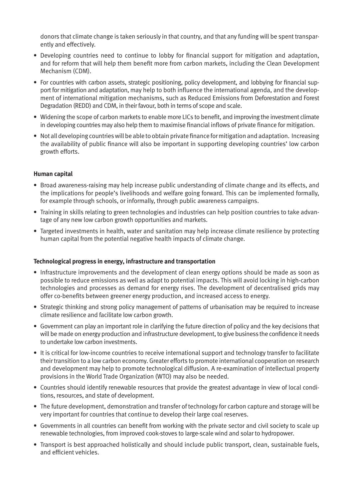donors that climate change is taken seriously in that country, and that any funding will be spent transparently and effectively.

- **•** Developing countries need to continue to lobby for financial support for mitigation and adaptation, and for reform that will help them benefit more from carbon markets, including the Clean Development Mechanism (CDM).
- **•** For countries with carbon assets, strategic positioning, policy development, and lobbying for financial support for mitigation and adaptation, may help to both influence the international agenda, and the development of international mitigation mechanisms, such as Reduced Emissions from Deforestation and Forest Degradation (REDD) and CDM, in their favour, both in terms of scope and scale.
- **•** Widening the scope of carbon markets to enable more LICs to benefit, and improving the investment climate in developing countries may also help them to maximise financial inflows of private finance for mitigation.
- **•** Not all developing countries will be able to obtain private finance for mitigation and adaptation. Increasing the availability of public finance will also be important in supporting developing countries' low carbon growth efforts.

#### **Human capital**

- **•** Broad awareness-raising may help increase public understanding of climate change and its effects, and the implications for people's livelihoods and welfare going forward. This can be implemented formally, for example through schools, or informally, through public awareness campaigns.
- **•** Training in skills relating to green technologies and industries can help position countries to take advantage of any new low carbon growth opportunities and markets.
- **•** Targeted investments in health, water and sanitation may help increase climate resilience by protecting human capital from the potential negative health impacts of climate change.

#### **Technological progress in energy, infrastructure and transportation**

- **•** Infrastructure improvements and the development of clean energy options should be made as soon as possible to reduce emissions as well as adapt to potential impacts. This will avoid locking in high-carbon technologies and processes as demand for energy rises. The development of decentralised grids may offer co-benefits between greener energy production, and increased access to energy.
- **•** Strategic thinking and strong policy management of patterns of urbanisation may be required to increase climate resilience and facilitate low carbon growth.
- **•** Government can play an important role in clarifying the future direction of policy and the key decisions that will be made on energy production and infrastructure development, to give business the confidence it needs to undertake low carbon investments.
- **•** It is critical for low-income countries to receive international support and technology transfer to facilitate their transition to a low carbon economy. Greater efforts to promote international cooperation on research and development may help to promote technological diffusion. A re-examination of intellectual property provisions in the World Trade Organization (WTO) may also be needed.
- **•** Countries should identify renewable resources that provide the greatest advantage in view of local conditions, resources, and state of development.
- **•** The future development, demonstration and transfer of technology for carbon capture and storage will be very important for countries that continue to develop their large coal reserves.
- **•** Governments in all countries can benefit from working with the private sector and civil society to scale up renewable technologies, from improved cook-stoves to large-scale wind and solar to hydropower.
- **•** Transport is best approached holistically and should include public transport, clean, sustainable fuels, and efficient vehicles.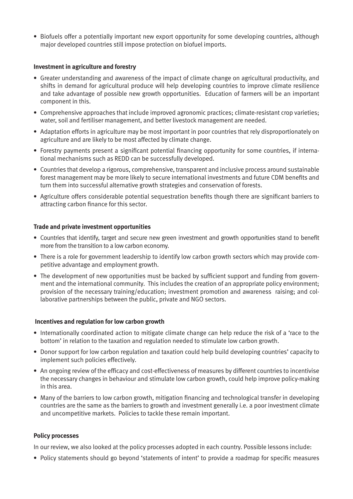**•** Biofuels offer a potentially important new export opportunity for some developing countries, although major developed countries still impose protection on biofuel imports.

#### **Investment in agriculture and forestry**

- **•** Greater understanding and awareness of the impact of climate change on agricultural productivity, and shifts in demand for agricultural produce will help developing countries to improve climate resilience and take advantage of possible new growth opportunities. Education of farmers will be an important component in this.
- **•** Comprehensive approaches that include improved agronomic practices; climate-resistant crop varieties; water, soil and fertiliser management, and better livestock management are needed.
- **•** Adaptation efforts in agriculture may be most important in poor countries that rely disproportionately on agriculture and are likely to be most affected by climate change.
- **•** Forestry payments present a significant potential financing opportunity for some countries, if international mechanisms such as REDD can be successfully developed.
- **•** Countries that develop a rigorous, comprehensive, transparent and inclusive process around sustainable forest management may be more likely to secure international investments and future CDM benefits and turn them into successful alternative growth strategies and conservation of forests.
- **•** Agriculture offers considerable potential sequestration benefits though there are significant barriers to attracting carbon finance for this sector.

#### **Trade and private investment opportunities**

- **•** Countries that identify, target and secure new green investment and growth opportunities stand to benefit more from the transition to a low carbon economy.
- **•** There is a role for government leadership to identify low carbon growth sectors which may provide competitive advantage and employment growth.
- **•** The development of new opportunities must be backed by sufficient support and funding from government and the international community. This includes the creation of an appropriate policy environment; provision of the necessary training/education; investment promotion and awareness raising; and collaborative partnerships between the public, private and NGO sectors.

#### **Incentives and regulation for low carbon growth**

- **•** Internationally coordinated action to mitigate climate change can help reduce the risk of a 'race to the bottom' in relation to the taxation and regulation needed to stimulate low carbon growth.
- **•** Donor support for low carbon regulation and taxation could help build developing countries' capacity to implement such policies effectively.
- **•** An ongoing review of the efficacy and cost-effectiveness of measures by different countries to incentivise the necessary changes in behaviour and stimulate low carbon growth, could help improve policy-making in this area.
- **•** Many of the barriers to low carbon growth, mitigation financing and technological transfer in developing countries are the same as the barriers to growth and investment generally i.e. a poor investment climate and uncompetitive markets. Policies to tackle these remain important.

#### **Policy processes**

In our review, we also looked at the policy processes adopted in each country. Possible lessons include:

**•** Policy statements should go beyond 'statements of intent' to provide a roadmap for specific measures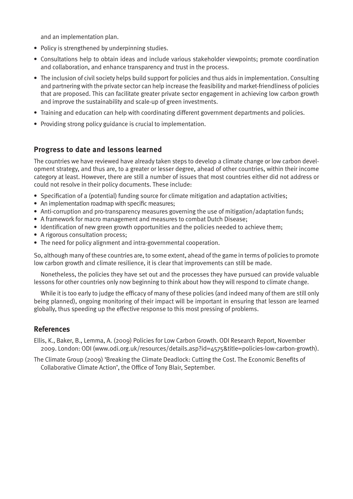and an implementation plan.

- **•** Policy is strengthened by underpinning studies.
- **•** Consultations help to obtain ideas and include various stakeholder viewpoints; promote coordination and collaboration, and enhance transparency and trust in the process.
- **•** The inclusion of civil society helps build support for policies and thus aids in implementation. Consulting and partnering with the private sector can help increase the feasibility and market-friendliness of policies that are proposed. This can facilitate greater private sector engagement in achieving low carbon growth and improve the sustainability and scale-up of green investments.
- **•** Training and education can help with coordinating different government departments and policies.
- **•** Providing strong policy guidance is crucial to implementation.

## **Progress to date and lessons learned**

The countries we have reviewed have already taken steps to develop a climate change or low carbon development strategy, and thus are, to a greater or lesser degree, ahead of other countries, within their income category at least. However, there are still a number of issues that most countries either did not address or could not resolve in their policy documents. These include:

- **•** Specification of a (potential) funding source for climate mitigation and adaptation activities;
- **•** An implementation roadmap with specific measures;
- Anti-corruption and pro-transparency measures governing the use of mitigation/adaptation funds;
- **•** A framework for macro management and measures to combat Dutch Disease;
- **•** Identification of new green growth opportunities and the policies needed to achieve them;
- **•** A rigorous consultation process;
- **•** The need for policy alignment and intra-governmental cooperation.

So, although many of these countries are, to some extent, ahead of the game in terms of policies to promote low carbon growth and climate resilience, it is clear that improvements can still be made.

Nonetheless, the policies they have set out and the processes they have pursued can provide valuable lessons for other countries only now beginning to think about how they will respond to climate change.

While it is too early to judge the efficacy of many of these policies (and indeed many of them are still only being planned), ongoing monitoring of their impact will be important in ensuring that lesson are learned globally, thus speeding up the effective response to this most pressing of problems.

## **References**

Ellis, K., Baker, B., Lemma, A. (2009) Policies for Low Carbon Growth. ODI Research Report, November 2009. London: ODI (www.odi.org.uk/resources/details.asp?id=4575&title=policies-low-carbon-growth).

The Climate Group (2009) 'Breaking the Climate Deadlock: Cutting the Cost. The Economic Benefits of Collaborative Climate Action', the Office of Tony Blair, September.